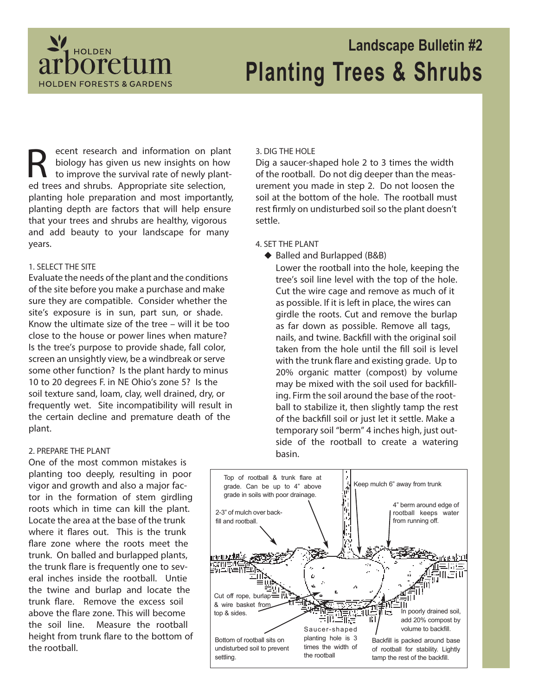

# **Landscape Bulletin #2 Planting Trees & Shrubs**

R ecent research and information on plar<br>biology has given us new insights on how<br>to improve the survival rate of newly plan<br>ed trees and shrubs. Appropriate site selection, ecent research and information on plant biology has given us new insights on how to improve the survival rate of newly plantplanting hole preparation and most importantly, planting depth are factors that will help ensure that your trees and shrubs are healthy, vigorous and add beauty to your landscape for many years.

#### **1. SELECT THE SITE**

Evaluate the needs of the plant and the conditions of the site before you make a purchase and make sure they are compatible. Consider whether the site's exposure is in sun, part sun, or shade. Know the ultimate size of the tree – will it be too close to the house or power lines when mature? Is the tree's purpose to provide shade, fall color, screen an unsightly view, be a windbreak or serve some other function? Is the plant hardy to minus 10 to 20 degrees F. in NE Ohio's zone 5? Is the soil texture sand, loam, clay, well drained, dry, or frequently wet. Site incompatibility will result in the certain decline and premature death of the plant.

#### **2. PREPARE THE PLANT**

One of the most common mistakes is planting too deeply, resulting in poor vigor and growth and also a major factor in the formation of stem girdling roots which in time can kill the plant. Locate the area at the base of the trunk where it flares out. This is the trunk flare zone where the roots meet the trunk. On balled and burlapped plants, the trunk flare is frequently one to several inches inside the rootball. Untie the twine and burlap and locate the trunk flare. Remove the excess soil above the flare zone. This will become the soil line. Measure the rootball height from trunk flare to the bottom of the rootball.

#### **3. DIG THE HOLE**

Dig a saucer-shaped hole 2 to 3 times the width of the rootball. Do not dig deeper than the measurement you made in step 2. Do not loosen the soil at the bottom of the hole. The rootball must rest firmly on undisturbed soil so the plant doesn't settle.

#### **4. SET THE PLANT**

◆ Balled and Burlapped (B&B)

Lower the rootball into the hole, keeping the tree's soil line level with the top of the hole. Cut the wire cage and remove as much of it as possible. If it is left in place, the wires can girdle the roots. Cut and remove the burlap as far down as possible. Remove all tags, nails, and twine. Backfill with the original soil taken from the hole until the fill soil is level with the trunk flare and existing grade. Up to 20% organic matter (compost) by volume may be mixed with the soil used for backfilling. Firm the soil around the base of the rootball to stabilize it, then slightly tamp the rest of the backfill soil or just let it settle. Make a temporary soil "berm" 4 inches high, just outside of the rootball to create a watering basin.